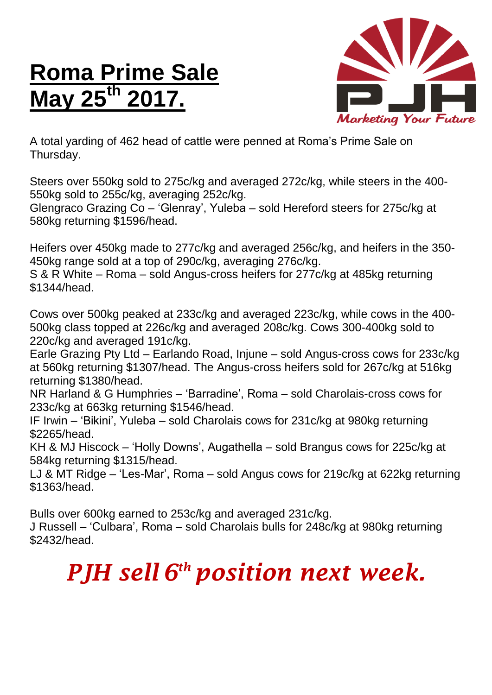## **Roma Prime Sale May 2**



A total yarding of 462 head of cattle were penned at Roma's Prime Sale on Thursday.

Steers over 550kg sold to 275c/kg and averaged 272c/kg, while steers in the 400- 550kg sold to 255c/kg, averaging 252c/kg.

Glengraco Grazing Co – 'Glenray', Yuleba – sold Hereford steers for 275c/kg at 580kg returning \$1596/head.

Heifers over 450kg made to 277c/kg and averaged 256c/kg, and heifers in the 350- 450kg range sold at a top of 290c/kg, averaging 276c/kg.

S & R White – Roma – sold Angus-cross heifers for 277c/kg at 485kg returning \$1344/head.

Cows over 500kg peaked at 233c/kg and averaged 223c/kg, while cows in the 400- 500kg class topped at 226c/kg and averaged 208c/kg. Cows 300-400kg sold to 220c/kg and averaged 191c/kg.

Earle Grazing Pty Ltd – Earlando Road, Injune – sold Angus-cross cows for 233c/kg at 560kg returning \$1307/head. The Angus-cross heifers sold for 267c/kg at 516kg returning \$1380/head.

NR Harland & G Humphries – 'Barradine', Roma – sold Charolais-cross cows for 233c/kg at 663kg returning \$1546/head.

IF Irwin – 'Bikini', Yuleba – sold Charolais cows for 231c/kg at 980kg returning \$2265/head.

KH & MJ Hiscock – 'Holly Downs', Augathella – sold Brangus cows for 225c/kg at 584kg returning \$1315/head.

LJ & MT Ridge – 'Les-Mar', Roma – sold Angus cows for 219c/kg at 622kg returning \$1363/head.

Bulls over 600kg earned to 253c/kg and averaged 231c/kg.

J Russell – 'Culbara', Roma – sold Charolais bulls for 248c/kg at 980kg returning \$2432/head.

## *PJH sell 6 th position next week.*